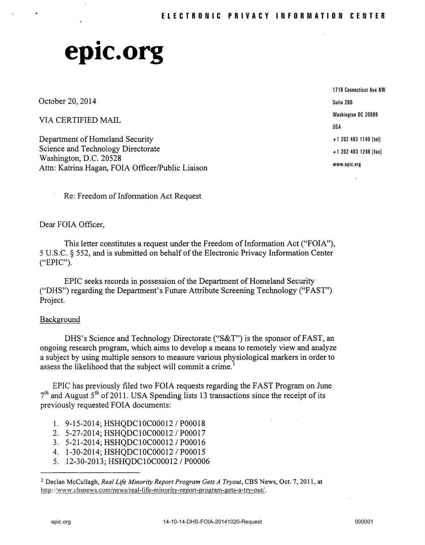# • **eplC.org**

October 20, 2014

VIA CERTIFIED MAIL

Department of Homeland Security Science and Technology Directorate Washington, D.C. 20528 Attn: Katrina Hagan, FOIA Officer/Public Liaison 1718 Connecticut Ave NW Suite 201). Washington DC 20009 USA + 1 202 483 1140 [tell + 1 202·483 1248 [faxl www.epic.org

Re: Freedom of Information Act Request

Dear FOIA Officer,

This letter constitutes a request under the Freedom of Information Act ("FOIA"), 5 U.S.C. § 552, and is submitted on behalf of the Electronic Privacy Information Center ("EPIC").

EPIC seeks records in possession of the Department of Homeland Security ("DHS") regarding the Department's Future Attribute Screening Technology ("FAST") Project.

## Background

DHS's Science and Technology Directorate ("S&T") is the sponsor of FAST, an ongoing research program, which aims to develop a means to remotely view and analyze a subject by using mUltiple sensors to measure various physiological markers in order to assess the likelihood that the subject will commit a crime.

EPIC has previously filed two FOIA requests regarding the FAST Program on June  $7<sup>th</sup>$  and August 5<sup>th</sup> of 2011. USA Spending lists 13 transactions since the receipt of its previously-requested FOIA documents:

- 1. 9-15-2014; HSHQDCI0C00012 / P00018
- 2. 5-27-2014; HSHQDCI0C00012 / P00017
- 3. 5-21-2014; HSHQDCI0C00012 / P00016
- 4. 1-30-2014; HSHQDCI0C00012 / P00015
- 5. 12-30-2013; HSHQDCI0C00012 / P00006

<sup>1</sup> Declan McCullagh, *Real Life Minority Report Program Gets A Tryout,* CBS News, Oct. 7, 2011, at http://www.cbsnews.com/news/real-life-minority-report-program-gets-a-try-out/.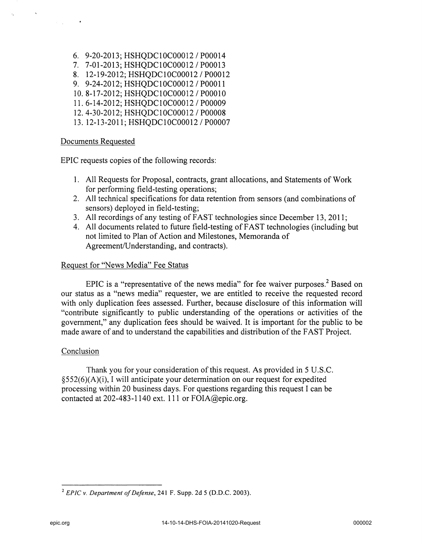6. 9-20-2013; HSHQDCI0C00012 / P00014 7. 7-01-2013; HSHQDClOC00012 / P00013 8. 12-19-2012; HSHQDC10C00012 / P00012 9. 9-24-2012; HSHQDClOC00012 / P00011 10.8-17-2012; HSHQDClOC00012 / POOOlO 11. 6-14-2012; HSHQDCI0C00012 / P00009 12.4-30-2012; HSHQDCI0C00012 / P00008 13. 12-13-2011; HSHQDClOC00012 / P00007

## Documents Requested

EPIC requests copies of the following records:

- 1. All Requests for Proposal, contracts, grant allocations, and Statements of Work for performing field-testing operations;
- 2. All technical specifications for data retention from sensors (and combinations of sensors) deployed in field-testing;
- 3. All recordings of any testing of FAST technologies since December 13,2011;
- 4. All documents related to future field-testing of FAST technologies (including but not limited to Plan of Action and Milestones, Memoranda of Agreement/Understanding, and contracts).

## Request for "News Media" Fee Status

EPIC is a "representative of the news media" for fee waiver purposes? Based on our status as a "news media" requester, we are entitled to receive the requested record with only duplication fees assessed. Further, because disclosure of this information will "contribute significantly to public understanding of the operations or activities of the government," any duplication fees should be waived. It is important for the public to be made aware of and to understand the capabilities and distribution of the FAST Project.

## Conclusion

Thank you for your consideration of this request. As provided in 5 U.S.C. §552(6)(A)(i), I will anticipate your determination on our request for expedited processing within 20 business days. For questions regarding this request I can be contacted at 202-483-1140 ext. 111 or FOIA@epic.org.

<sup>2</sup>*EPIC* v. *Department of Defense,* 241 F. Supp. 2d 5 (D.D.C. 2003).